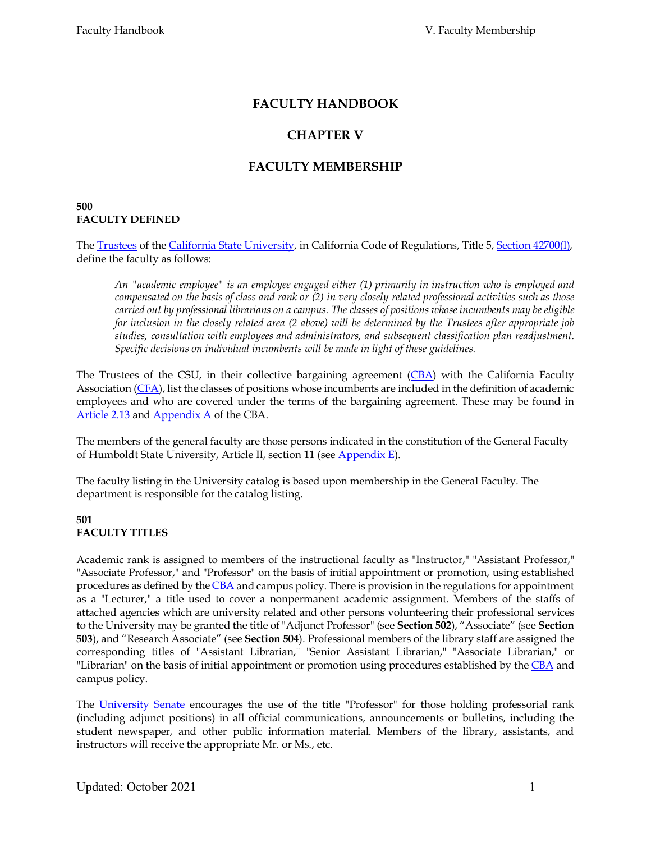# **FACULTY HANDBOOK**

# **CHAPTER V**

# **FACULTY MEMBERSHIP**

#### **500 FACULTY DEFINED**

The [Trustees](http://www.calstate.edu/BOT/) of the [California State University, i](http://www.calstate.edu/)n California Code of Regulations, Title 5, [Section 42700\(l\),](http://weblinks.westlaw.com/Find/Default.wl?DB=CA%2DADC%2DTOC%3BRVADCCATOC&DocName=5CAADCS42700&FindType=W&AP&fn=_top&rs=WEBL8.05&vr=2.0&spa=CCR-1000&trailtype=26&Cnt=Document) define the faculty as follows:

*An "academic employee" is an employee engaged either (1) primarily in instruction who is employed and compensated on the basis of class and rank or (2) in very closely related professional activities such as those carried out by professional librarians on a campus. The classes of positions whose incumbents may be eligible for inclusion in the closely related area (2 above) will be determined by the Trustees after appropriate job studies, consultation with employees and administrators, and subsequent classification plan readjustment. Specific decisions on individual incumbents will be made in light of these guidelines.*

The Trustees of the CSU, in their collective bargaining agreement [\(CBA\)](http://www.calstate.edu/LaborRel/Contracts_HTML/CFA_CONTRACT/CFAtoc.shtml) with the California Faculty Association [\(CFA\)](http://www.calfac.org/), list the classes of positions whose incumbents are included in the definition of academic employees and who are covered under the terms of the bargaining agreement. These may be found in [Article 2.13](http://www.calstate.edu/LaborRel/Contracts_HTML/CFA_CONTRACT/article2.shtml) and [Appendix A](http://www.calstate.edu/LaborRel/Contracts_HTML/CFA_CONTRACT/appendixA.shtml) of the CBA.

The members of the general faculty are those persons indicated in the constitution of the General Faculty of Humboldt State University, Article II, section 11 (see [Appendix E\)](http://www2.humboldt.edu/aavp/faculty-handbook).

The faculty listing in the University catalog is based upon membership in the General Faculty. The department is responsible for the catalog listing.

#### **501 FACULTY TITLES**

Academic rank is assigned to members of the instructional faculty as "Instructor," "Assistant Professor," "Associate Professor," and "Professor" on the basis of initial appointment or promotion, using established procedures as defined by th[e CBA](http://www.calstate.edu/LaborRel/Contracts_HTML/CFA_CONTRACT/CFAtoc.shtml) and campus policy. There is provision in the regulations for appointment as a "Lecturer," a title used to cover a nonpermanent academic assignment. Members of the staffs of attached agencies which are university related and other persons volunteering their professional services to the University may be granted the title of "Adjunct Professor" (see **Section 502**), "Associate" (see **Section 503**), and "Research Associate" (see **Section 504**). Professional members of the library staff are assigned the corresponding titles of "Assistant Librarian," "Senior Assistant Librarian," "Associate Librarian," or "Librarian" on the basis of initial appointment or promotion using procedures established by the [CBA](http://www.calstate.edu/LaborRel/Contracts_HTML/CFA_CONTRACT/appendixC.shtml) and campus policy.

The [University Senate](http://www2.humboldt.edu/senate/) encourages the use of the title "Professor" for those holding professorial rank (including adjunct positions) in all official communications, announcements or bulletins, including the student newspaper, and other public information material. Members of the library, assistants, and instructors will receive the appropriate Mr. or Ms., etc.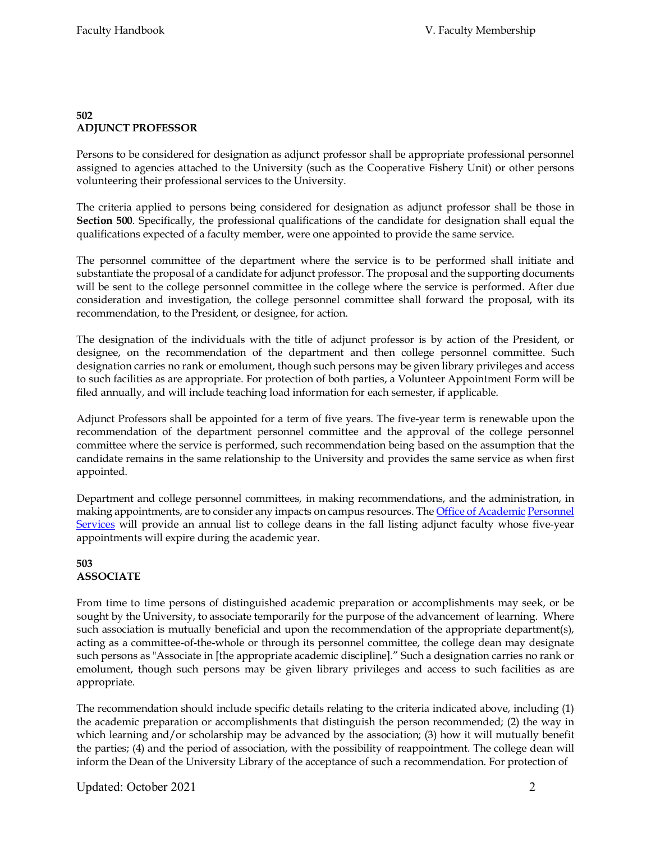## **502 ADJUNCT PROFESSOR**

Persons to be considered for designation as adjunct professor shall be appropriate professional personnel assigned to agencies attached to the University (such as the Cooperative Fishery Unit) or other persons volunteering their professional services to the University.

The criteria applied to persons being considered for designation as adjunct professor shall be those in **Section 500**. Specifically, the professional qualifications of the candidate for designation shall equal the qualifications expected of a faculty member, were one appointed to provide the same service.

The personnel committee of the department where the service is to be performed shall initiate and substantiate the proposal of a candidate for adjunct professor. The proposal and the supporting documents will be sent to the college personnel committee in the college where the service is performed. After due consideration and investigation, the college personnel committee shall forward the proposal, with its recommendation, to the President, or designee, for action.

The designation of the individuals with the title of adjunct professor is by action of the President, or designee, on the recommendation of the department and then college personnel committee. Such designation carries no rank or emolument, though such persons may be given library privileges and access to such facilities as are appropriate. For protection of both parties, a Volunteer Appointment Form will be filed annually, and will include teaching load information for each semester, if applicable.

Adjunct Professors shall be appointed for a term of five years. The five-year term is renewable upon the recommendation of the department personnel committee and the approval of the college personnel committee where the service is performed, such recommendation being based on the assumption that the candidate remains in the same relationship to the University and provides the same service as when first appointed.

Department and college personnel committees, in making recommendations, and the administration, in making appointments, are to consider any impacts on campus resources. Th[e Office of Academic](http://www2.humboldt.edu/aps/) Personnel [Services](http://www2.humboldt.edu/aps/) will provide an annual list to college deans in the fall listing adjunct faculty whose five-year appointments will expire during the academic year.

## **503 ASSOCIATE**

From time to time persons of distinguished academic preparation or accomplishments may seek, or be sought by the University, to associate temporarily for the purpose of the advancement of learning. Where such association is mutually beneficial and upon the recommendation of the appropriate department(s), acting as a committee-of-the-whole or through its personnel committee, the college dean may designate such persons as "Associate in [the appropriate academic discipline]." Such a designation carries no rank or emolument, though such persons may be given library privileges and access to such facilities as are appropriate.

The recommendation should include specific details relating to the criteria indicated above, including (1) the academic preparation or accomplishments that distinguish the person recommended; (2) the way in which learning and/or scholarship may be advanced by the association; (3) how it will mutually benefit the parties; (4) and the period of association, with the possibility of reappointment. The college dean will inform the Dean of the University Library of the acceptance of such a recommendation. For protection of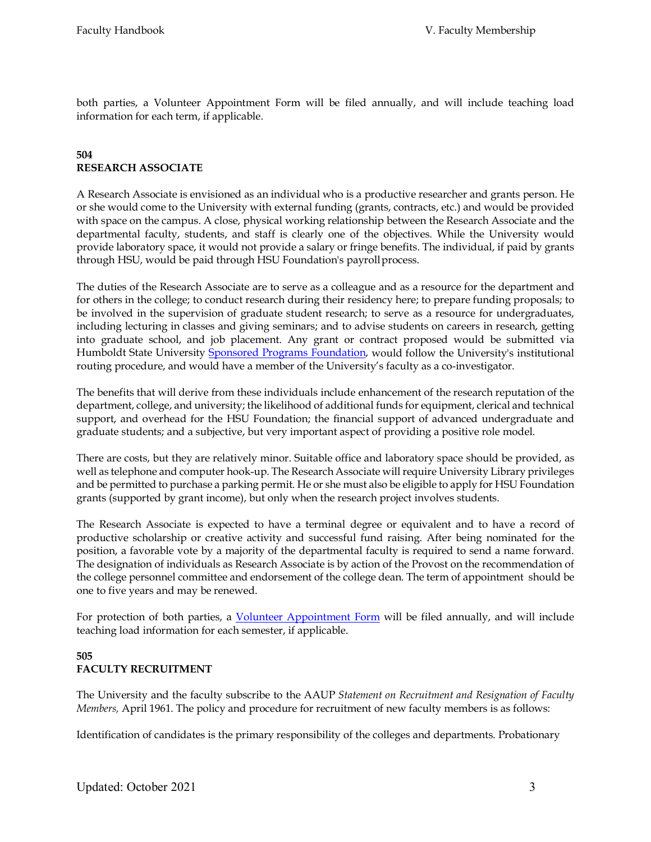both parties, a Volunteer Appointment Form will be filed annually, and will include teaching load information for each term, if applicable.

## **504 RESEARCH ASSOCIATE**

A Research Associate is envisioned as an individual who is a productive researcher and grants person. He or she would come to the University with external funding (grants, contracts, etc.) and would be provided with space on the campus. A close, physical working relationship between the Research Associate and the departmental faculty, students, and staff is clearly one of the objectives. While the University would provide laboratory space, it would not provide a salary or fringe benefits. The individual, if paid by grants through HSU, would be paid through HSU Foundation's payroll process.

The duties of the Research Associate are to serve as a colleague and as a resource for the department and for others in the college; to conduct research during their residency here; to prepare funding proposals; to be involved in the supervision of graduate student research; to serve as a resource for undergraduates, including lecturing in classes and giving seminars; and to advise students on careers in research, getting into graduate school, and job placement. Any grant or contract proposed would be submitted via Humboldt State University [Sponsored Programs Foundation, w](http://www2.humboldt.edu/hsuf/)ould follow the University's institutional routing procedure, and would have a member of the University's faculty as a co-investigator.

The benefits that will derive from these individuals include enhancement of the research reputation of the department, college, and university; the likelihood of additional funds for equipment, clerical and technical support, and overhead for the HSU Foundation; the financial support of advanced undergraduate and graduate students; and a subjective, but very important aspect of providing a positive role model.

There are costs, but they are relatively minor. Suitable office and laboratory space should be provided, as well as telephone and computer hook-up. The Research Associate will require University Library privileges and be permitted to purchase a parking permit. He or she must also be eligible to apply for HSU Foundation grants (supported by grant income), but only when the research project involves students.

The Research Associate is expected to have a terminal degree or equivalent and to have a record of productive scholarship or creative activity and successful fund raising. After being nominated for the position, a favorable vote by a majority of the departmental faculty is required to send a name forward. The designation of individuals as Research Associate is by action of the Provost on the recommendation of the college personnel committee and endorsement of the college dean. The term of appointment should be one to five years and may be renewed.

For protection of both parties, a [Volunteer Appointment Form](http://www2.humboldt.edu/forms/node/984) will be filed annually, and will include teaching load information for each semester, if applicable.

## **505 FACULTY RECRUITMENT**

The University and the faculty subscribe to the AAUP *Statement on Recruitment and Resignation of Faculty Members,* April 1961. The policy and procedure for recruitment of new faculty members is as follows:

Identification of candidates is the primary responsibility of the colleges and departments. Probationary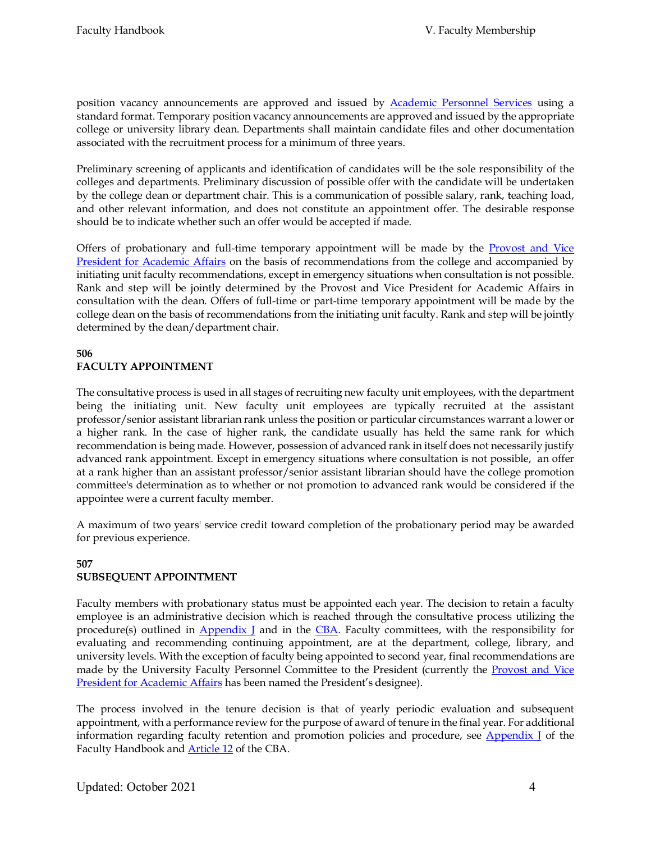position vacancy announcements are approved and issued by [Academic Personnel Services](http://www2.humboldt.edu/aps/) using a standard format. Temporary position vacancy announcements are approved and issued by the appropriate college or university library dean. Departments shall maintain candidate files and other documentation associated with the recruitment process for a minimum of three years.

Preliminary screening of applicants and identification of candidates will be the sole responsibility of the colleges and departments. Preliminary discussion of possible offer with the candidate will be undertaken by the college dean or department chair. This is a communication of possible salary, rank, teaching load, and other relevant information, and does not constitute an appointment offer. The desirable response should be to indicate whether such an offer would be accepted if made.

Offers of probationary and full-time temporary appointment will be made by the [Provost and Vice](http://www2.humboldt.edu/aavp/) [President for Academic Affairs](http://www2.humboldt.edu/aavp/) on the basis of recommendations from the college and accompanied by initiating unit faculty recommendations, except in emergency situations when consultation is not possible. Rank and step will be jointly determined by the Provost and Vice President for Academic Affairs in consultation with the dean. Offers of full-time or part-time temporary appointment will be made by the college dean on the basis of recommendations from the initiating unit faculty. Rank and step will be jointly determined by the dean/department chair.

#### **506 FACULTY APPOINTMENT**

The consultative process is used in all stages of recruiting new faculty unit employees, with the department being the initiating unit. New faculty unit employees are typically recruited at the assistant professor/senior assistant librarian rank unless the position or particular circumstances warrant a lower or a higher rank. In the case of higher rank, the candidate usually has held the same rank for which recommendation is being made. However, possession of advanced rank in itself does not necessarily justify advanced rank appointment. Except in emergency situations where consultation is not possible, an offer at a rank higher than an assistant professor/senior assistant librarian should have the college promotion committee's determination as to whether or not promotion to advanced rank would be considered if the appointee were a current faculty member.

A maximum of two years' service credit toward completion of the probationary period may be awarded for previous experience.

## **507 SUBSEQUENT APPOINTMENT**

Faculty members with probationary status must be appointed each year. The decision to retain a faculty employee is an administrative decision which is reached through the consultative process utilizing the procedure(s) outlined in  $\Delta$ ppendix I and in the [CBA.](http://www.calstate.edu/LaborRel/Contracts_HTML/CFA_CONTRACT/CFAtoc.shtml) Faculty committees, with the responsibility for evaluating and recommending continuing appointment, are at the department, college, library, and university levels. With the exception of faculty being appointed to second year, final recommendations are made by the University Faculty Personnel Committee to the President (currently the [Provost and Vice](http://www2.humboldt.edu/aavp/) [President for Academic Affairs](http://www2.humboldt.edu/aavp/) has been named the President's designee).

The process involved in the tenure decision is that of yearly periodic evaluation and subsequent appointment, with a performance review for the purpose of award of tenure in the final year. For additional information regarding faculty retention and promotion policies and procedure, see **Appendix** I of the Faculty Handbook an[d Article 12](http://www.calstate.edu/LaborRel/Contracts_HTML/CFA_CONTRACT/article12.shtml) of the CBA.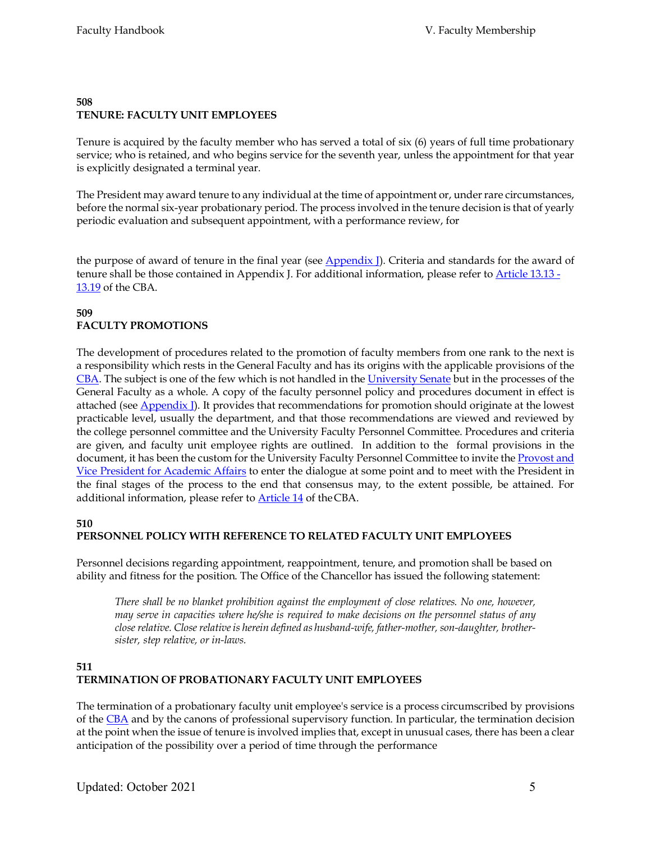#### **508 TENURE: FACULTY UNIT EMPLOYEES**

Tenure is acquired by the faculty member who has served a total of six (6) years of full time probationary service; who is retained, and who begins service for the seventh year, unless the appointment for that year is explicitly designated a terminal year.

The President may award tenure to any individual at the time of appointment or, under rare circumstances, before the normal six-year probationary period. The process involved in the tenure decision is that of yearly periodic evaluation and subsequent appointment, with a performance review, for

the purpose of award of tenure in the final year (see  $\Delta$ ppendix I). Criteria and standards for the award of tenure shall be those contained in Appendix J. For additional information, please refer to **Article 13.13** -[13.19](http://www.calstate.edu/LaborRel/Contracts_HTML/CFA_CONTRACT/article13.shtml) of the CBA.

## **509 FACULTY PROMOTIONS**

The development of procedures related to the promotion of faculty members from one rank to the next is a responsibility which rests in the General Faculty and has its origins with the applicable provisions of the [CBA. T](http://www.calstate.edu/LaborRel/Contracts_HTML/CFA_CONTRACT/CFAtoc.shtml)he subject is one of the few which is not handled in the [University Senate](http://www2.humboldt.edu/senate) but in the processes of the General Faculty as a whole. A copy of the faculty personnel policy and procedures document in effect is attached (see **Appendix** I). It provides that recommendations for promotion should originate at the lowest practicable level, usually the department, and that those recommendations are viewed and reviewed by the college personnel committee and the University Faculty Personnel Committee. Procedures and criteria are given, and faculty unit employee rights are outlined. In addition to the formal provisions in the document, it has been the custom for the University Faculty Personnel Committee to invite the Provost and [Vice President for Academic Affairs](http://www2.humboldt.edu/aavp/) to enter the dialogue at some point and to meet with the President in the final stages of the process to the end that consensus may, to the extent possible, be attained. For additional information, please refer t[o Article 14](http://www.calstate.edu/LaborRel/Contracts_HTML/CFA_CONTRACT/article14.shtml) of theCBA.

## **510**

# **PERSONNEL POLICY WITH REFERENCE TO RELATED FACULTY UNIT EMPLOYEES**

Personnel decisions regarding appointment, reappointment, tenure, and promotion shall be based on ability and fitness for the position. The Office of the Chancellor has issued the following statement:

*There shall be no blanket prohibition against the employment of close relatives. No one, however, may serve in capacities where he/she is required to make decisions on the personnel status of any close relative. Close relative is herein defined as husband-wife, father-mother, son-daughter, brothersister, step relative, or in-laws.*

## **511 TERMINATION OF PROBATIONARY FACULTY UNIT EMPLOYEES**

The termination of a probationary faculty unit employee's service is a process circumscribed by provisions of the  $\underline{CBA}$  and by the canons of professional supervisory function. In particular, the termination decision at the point when the issue of tenure is involved implies that, except in unusual cases, there has been a clear anticipation of the possibility over a period of time through the performance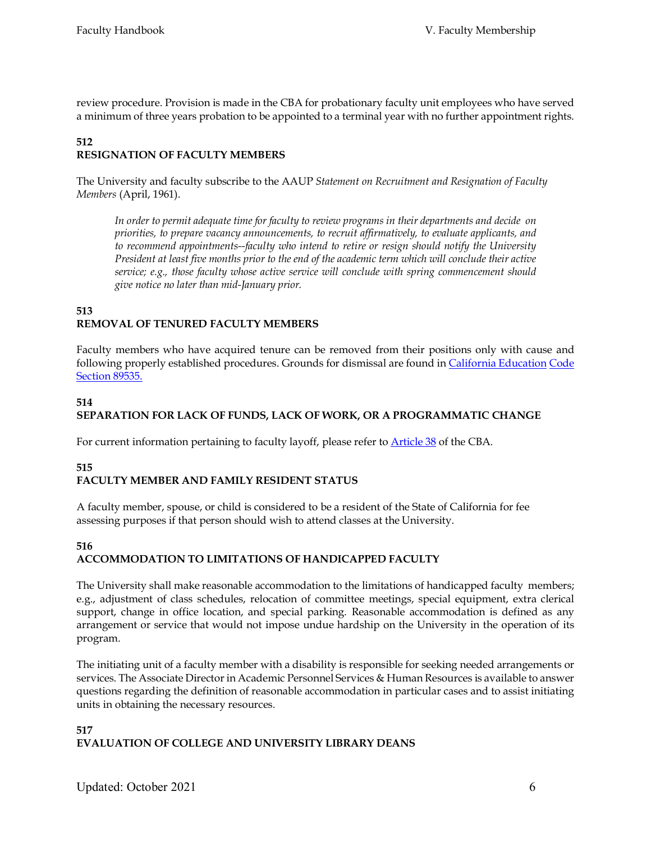review procedure. Provision is made in the CBA for probationary faculty unit employees who have served a minimum of three years probation to be appointed to a terminal year with no further appointment rights.

# **512**

# **RESIGNATION OF FACULTY MEMBERS**

The University and faculty subscribe to the AAUP *Statement on Recruitment and Resignation of Faculty Members* (April, 1961).

*In order to permit adequate time for faculty to review programs in their departments and decide on priorities, to prepare vacancy announcements, to recruit affirmatively, to evaluate applicants, and to recommend appointments--faculty who intend to retire or resign should notify the University President at least five months prior to the end of the academic term which will conclude their active service; e.g., those faculty whose active service will conclude with spring commencement should give notice no later than mid-January prior.*

#### **513 REMOVAL OF TENURED FACULTY MEMBERS**

Faculty members who have acquired tenure can be removed from their positions only with cause and following properly established procedures. Grounds for dismissal are found in [California Education](http://caselaw.lp.findlaw.com/cacodes/edc/89530-89546.html) [Code](http://caselaw.lp.findlaw.com/cacodes/edc/89530-89546.html)  [Section](http://caselaw.lp.findlaw.com/cacodes/edc/89530-89546.html) 89535.

## **514**

# **SEPARATION FOR LACK OF FUNDS, LACK OF WORK, OR A PROGRAMMATIC CHANGE**

For current information pertaining to faculty layoff, please refer t[o Article 38](http://www.calstate.edu/LaborRel/Contracts_HTML/CFA_CONTRACT/article38.shtml) of the CBA.

## **515 FACULTY MEMBER AND FAMILY RESIDENT STATUS**

A faculty member, spouse, or child is considered to be a resident of the State of California for fee assessing purposes if that person should wish to attend classes at the University.

## **516 ACCOMMODATION TO LIMITATIONS OF HANDICAPPED FACULTY**

The University shall make reasonable accommodation to the limitations of handicapped faculty members; e.g., adjustment of class schedules, relocation of committee meetings, special equipment, extra clerical support, change in office location, and special parking. Reasonable accommodation is defined as any arrangement or service that would not impose undue hardship on the University in the operation of its program.

The initiating unit of a faculty member with a disability is responsible for seeking needed arrangements or services. The Associate Director in Academic Personnel Services & Human Resources is available to answer questions regarding the definition of reasonable accommodation in particular cases and to assist initiating units in obtaining the necessary resources.

## **517 EVALUATION OF COLLEGE AND UNIVERSITY LIBRARY DEANS**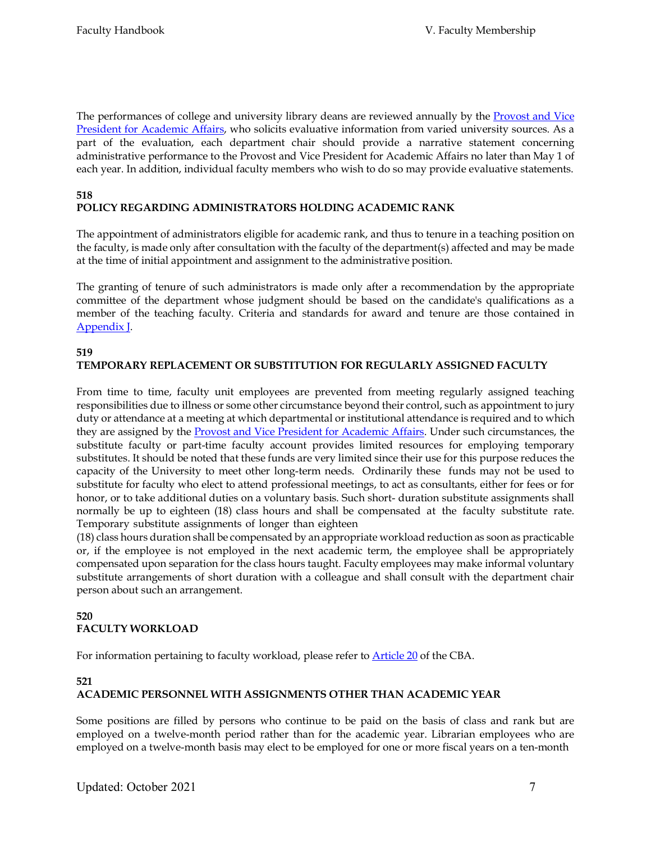The performances of college and university library deans are reviewed annually by the [Provost and Vice](http://www2.humboldt.edu/aavp/) [President for Academic Affairs, w](http://www2.humboldt.edu/aavp/)ho solicits evaluative information from varied university sources. As a part of the evaluation, each department chair should provide a narrative statement concerning administrative performance to the Provost and Vice President for Academic Affairs no later than May 1 of each year. In addition, individual faculty members who wish to do so may provide evaluative statements.

#### **518 POLICY REGARDING ADMINISTRATORS HOLDING ACADEMIC RANK**

The appointment of administrators eligible for academic rank, and thus to tenure in a teaching position on the faculty, is made only after consultation with the faculty of the department(s) affected and may be made at the time of initial appointment and assignment to the administrative position.

The granting of tenure of such administrators is made only after a recommendation by the appropriate committee of the department whose judgment should be based on the candidate's qualifications as a member of the teaching faculty. Criteria and standards for award and tenure are those contained in [Appendix J.](http://www2.humboldt.edu/aavp/faculty-handbook)

## **519**

# **TEMPORARY REPLACEMENT OR SUBSTITUTION FOR REGULARLY ASSIGNED FACULTY**

From time to time, faculty unit employees are prevented from meeting regularly assigned teaching responsibilities due to illness or some other circumstance beyond their control, such as appointment to jury duty or attendance at a meeting at which departmental or institutional attendance is required and to which they are assigned by th[e Provost and Vice President for Academic Affairs.](http://www2.humboldt.edu/aavp/) Under such circumstances, the substitute faculty or part-time faculty account provides limited resources for employing temporary substitutes. It should be noted that these funds are very limited since their use for this purpose reduces the capacity of the University to meet other long-term needs. Ordinarily these funds may not be used to substitute for faculty who elect to attend professional meetings, to act as consultants, either for fees or for honor, or to take additional duties on a voluntary basis. Such short- duration substitute assignments shall normally be up to eighteen (18) class hours and shall be compensated at the faculty substitute rate. Temporary substitute assignments of longer than eighteen

(18) class hours duration shall be compensated by an appropriate workload reduction as soon as practicable or, if the employee is not employed in the next academic term, the employee shall be appropriately compensated upon separation for the class hours taught. Faculty employees may make informal voluntary substitute arrangements of short duration with a colleague and shall consult with the department chair person about such an arrangement.

## **520 FACULTY WORKLOAD**

For information pertaining to faculty workload, please refer to **Article 20** of the CBA.

## **521**

## **ACADEMIC PERSONNEL WITH ASSIGNMENTS OTHER THAN ACADEMIC YEAR**

Some positions are filled by persons who continue to be paid on the basis of class and rank but are employed on a twelve-month period rather than for the academic year. Librarian employees who are employed on a twelve-month basis may elect to be employed for one or more fiscal years on a ten-month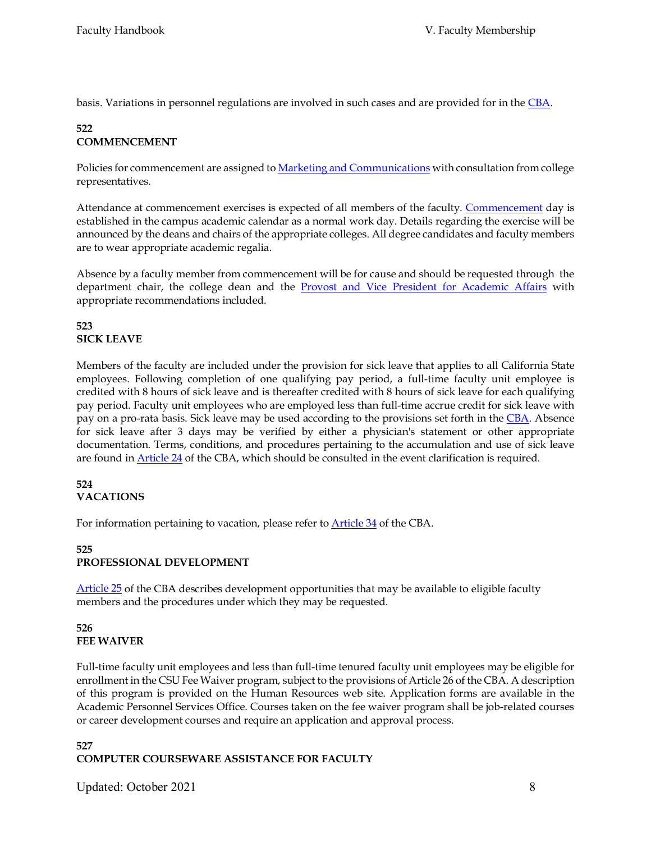basis. Variations in personnel regulations are involved in such cases and are provided for in th[e CBA.](http://www.calstate.edu/LaborRel/Contracts_HTML/CFA_CONTRACT/CFAtoc.shtml)

## **522 COMMENCEMENT**

Policies for commencement are assigned t[o Marketing and Communications](http://www2.humboldt.edu/marcom/campusResources.php?section=commencement) with consultation from college representatives.

Attendance at commencement exercises is expected of all members of the faculty. [Commencement](http://www2.humboldt.edu/commencement/) day is established in the campus academic calendar as a normal work day. Details regarding the exercise will be announced by the deans and chairs of the appropriate colleges. All degree candidates and faculty members are to wear appropriate academic regalia.

Absence by a faculty member from commencement will be for cause and should be requested through the department chair, the college dean and the [Provost and Vice President for Academic Affairs](http://www2.humboldt.edu/aavp/) with appropriate recommendations included.

## **523 SICK LEAVE**

Members of the faculty are included under the provision for sick leave that applies to all California State employees. Following completion of one qualifying pay period, a full-time faculty unit employee is credited with 8 hours of sick leave and is thereafter credited with 8 hours of sick leave for each qualifying pay period. Faculty unit employees who are employed less than full-time accrue credit for sick leave with pay on a pro-rata basis. Sick leave may be used according to the provisions set forth in th[e CBA.](http://www.calstate.edu/LaborRel/Contracts_HTML/CFA_CONTRACT/CFAtoc.shtml) Absence for sick leave after 3 days may be verified by either a physician's statement or other appropriate documentation. Terms, conditions, and procedures pertaining to the accumulation and use of sick leave are found i[n Article 24](http://www.calstate.edu/LaborRel/Contracts_HTML/CFA_CONTRACT/article24.shtml) of the CBA, which should be consulted in the event clarification is required.

#### **524 VACATIONS**

For information pertaining to vacation, please refer to **Article 34** of the CBA.

## **525 PROFESSIONAL DEVELOPMENT**

[Article 25](http://www.calstate.edu/LaborRel/Contracts_HTML/CFA_CONTRACT/article25.shtml) of the CBA describes development opportunities that may be available to eligible faculty members and the procedures under which they may be requested.

## **526 FEE WAIVER**

Full-time faculty unit employees and less than full-time tenured faculty unit employees may be eligible for enrollment in the CSU Fee Waiver program, subject to the provisions of Article 26 of the CBA. A description of this program is provided on the Human Resources web site. Application forms are available in the Academic Personnel Services Office. Courses taken on the fee waiver program shall be job-related courses or career development courses and require an application and approval process.

## **527 COMPUTER COURSEWARE ASSISTANCE FOR FACULTY**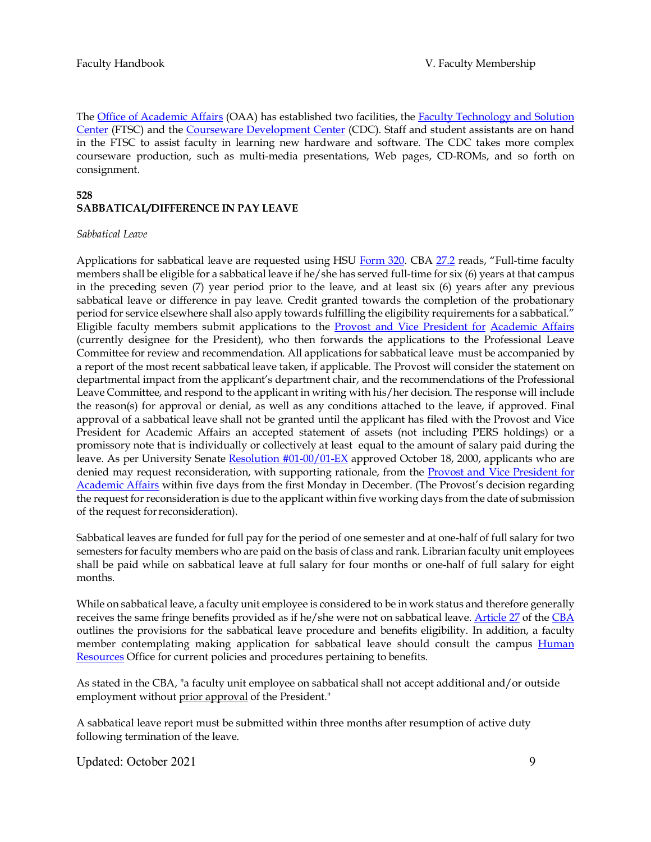The [Office of Academic Affairs](http://www2.humboldt.edu/aavp/) (OAA) has established two facilities, the **Faculty Technology and Solution** [Center](http://iss-tech.humboldt.edu/ftsc/) (FTSC) and the [Courseware Development Center](http://www.humboldt.edu/%7Ecdc/) (CDC). Staff and student assistants are on hand in the FTSC to assist faculty in learning new hardware and software. The CDC takes more complex courseware production, such as multi-media presentations, Web pages, CD-ROMs, and so forth on consignment.

#### **528**

## **SABBATICAL/DIFFERENCE IN PAY LEAVE**

#### *Sabbatical Leave*

Applications for sabbatical leave are requested using HSU [Form 320.](http://www2.humboldt.edu/forms/content/sabbatical-leave-application) CBA [27.2](http://www.calstate.edu/LaborRel/Contracts_HTML/CFA_CONTRACT/article27.shtml) reads, "Full-time faculty members shall be eligible for a sabbatical leave if he/she has served full-time for six (6) years at that campus in the preceding seven (7) year period prior to the leave, and at least six (6) years after any previous sabbatical leave or difference in pay leave. Credit granted towards the completion of the probationary period for service elsewhere shall also apply towards fulfilling the eligibility requirements for a sabbatical." Eligible faculty members submit applications to the **Provost and Vice President for [Academic Affairs](http://www2.humboldt.edu/aavp/)** (currently designee for the President), who then forwards the applications to the Professional Leave Committee for review and recommendation. All applications for sabbatical leave must be accompanied by a report of the most recent sabbatical leave taken, if applicable. The Provost will consider the statement on departmental impact from the applicant's department chair, and the recommendations of the Professional Leave Committee, and respond to the applicant in writing with his/her decision. The response will include the reason(s) for approval or denial, as well as any conditions attached to the leave, if approved. Final approval of a sabbatical leave shall not be granted until the applicant has filed with the Provost and Vice President for Academic Affairs an accepted statement of assets (not including PERS holdings) or a promissory note that is individually or collectively at least equal to the amount of salary paid during the leave. As per University Senate [Resolution #01-00/01-EX](http://www2.humboldt.edu/senate/resolution-docs/2000-2001/01-00-01-FA.htm) approved October 18, 2000, applicants who are denied may request reconsideration, with supporting rationale, from the **Provost and Vice President for** [Academic Affairs](http://www2.humboldt.edu/aavp/) within five days from the first Monday in December. (The Provost's decision regarding the request for reconsideration is due to the applicant within five working days from the date of submission of the request forreconsideration).

Sabbatical leaves are funded for full pay for the period of one semester and at one-half of full salary for two semesters for faculty members who are paid on the basis of class and rank. Librarian faculty unit employees shall be paid while on sabbatical leave at full salary for four months or one-half of full salary for eight months.

While on sabbatical leave, a faculty unit employee is considered to be in work status and therefore generally receives the same fringe benefits provided as if he/she were not on sabbatical leave. [Article 27](http://www.calstate.edu/LaborRel/Contracts_HTML/CFA_CONTRACT/article27.shtml) of the [CBA](http://www.calstate.edu/LaborRel/Contracts_HTML/CFA_CONTRACT/CFAtoc.shtml) outlines the provisions for the sabbatical leave procedure and benefits eligibility. In addition, a faculty member contemplating making application for sabbatical leave should consult the campus Human [Resources](http://www2.humboldt.edu/hsuhr/) Office for current policies and procedures pertaining to benefits.

As stated in the CBA, "a faculty unit employee on sabbatical shall not accept additional and/or outside employment without prior approval of the President."

A sabbatical leave report must be submitted within three months after resumption of active duty following termination of the leave.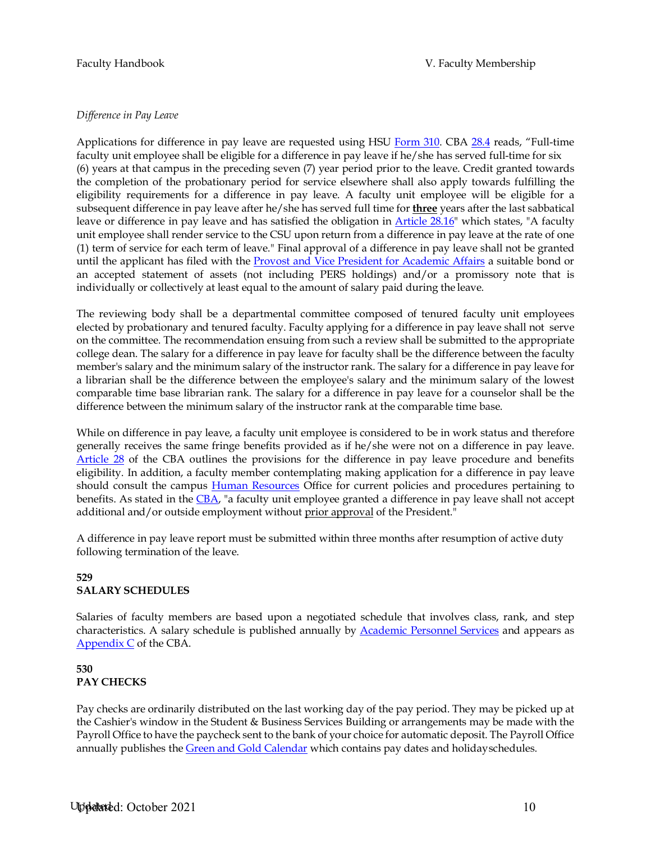#### *Difference in Pay Leave*

Applications for difference in pay leave are requested using HSU [Form 310. C](http://www2.humboldt.edu/forms/content/difference-pay-leave-application)BA [28.4](http://www.calstate.edu/LaborRel/Contracts_HTML/CFA_CONTRACT/article28.shtml) reads, "Full-time faculty unit employee shall be eligible for a difference in pay leave if he/she has served full-time for six (6) years at that campus in the preceding seven (7) year period prior to the leave. Credit granted towards the completion of the probationary period for service elsewhere shall also apply towards fulfilling the eligibility requirements for a difference in pay leave. A faculty unit employee will be eligible for a subsequent difference in pay leave after he/she has served full time for **three** years after the last sabbatical leave or difference in pay leave and has satisfied the obligation in [Article 28.16"](http://www.calstate.edu/LaborRel/Contracts_HTML/CFA_CONTRACT/article28.shtml) which states, "A faculty unit employee shall render service to the CSU upon return from a difference in pay leave at the rate of one (1) term of service for each term of leave." Final approval of a difference in pay leave shall not be granted until the applicant has filed with the [Provost and Vice President for Academic Affairs](http://www2.humboldt.edu/aavp/) a suitable bond or an accepted statement of assets (not including PERS holdings) and/or a promissory note that is individually or collectively at least equal to the amount of salary paid during the leave.

The reviewing body shall be a departmental committee composed of tenured faculty unit employees elected by probationary and tenured faculty. Faculty applying for a difference in pay leave shall not serve on the committee. The recommendation ensuing from such a review shall be submitted to the appropriate college dean. The salary for a difference in pay leave for faculty shall be the difference between the faculty member's salary and the minimum salary of the instructor rank. The salary for a difference in pay leave for a librarian shall be the difference between the employee's salary and the minimum salary of the lowest comparable time base librarian rank. The salary for a difference in pay leave for a counselor shall be the difference between the minimum salary of the instructor rank at the comparable time base.

While on difference in pay leave, a faculty unit employee is considered to be in work status and therefore generally receives the same fringe benefits provided as if he/she were not on a difference in pay leave. [Article 28](http://www.calstate.edu/LaborRel/Contracts_HTML/CFA_CONTRACT/article28.shtml) of the CBA outlines the provisions for the difference in pay leave procedure and benefits eligibility. In addition, a faculty member contemplating making application for a difference in pay leave should consult the campus **Human Resources** Office for current policies and procedures pertaining to benefits. As stated in the [CBA, "](http://www.calstate.edu/LaborRel/Contracts_HTML/CFA_CONTRACT/CFAtoc.shtml)a faculty unit employee granted a difference in pay leave shall not accept additional and/or outside employment without prior approval of the President."

A difference in pay leave report must be submitted within three months after resumption of active duty following termination of the leave.

#### **529 SALARY SCHEDULES**

Salaries of faculty members are based upon a negotiated schedule that involves class, rank, and step characteristics. A salary schedule is published annually by [Academic Personnel Services](http://www2.humboldt.edu/aps/) and appears as [Appendix C](http://www.calstate.edu/hrpims/salary.htm) of the CBA.

## **530 PAY CHECKS**

Pay checks are ordinarily distributed on the last working day of the pay period. They may be picked up at the Cashier's window in the Student & Business Services Building or arrangements may be made with the Payroll Office to have the paycheck sent to the bank of your choice for automatic deposit. The Payroll Office annually publishes the [Green and Gold Calendar](http://www2.humboldt.edu/events/) which contains pay dates and holidayschedules.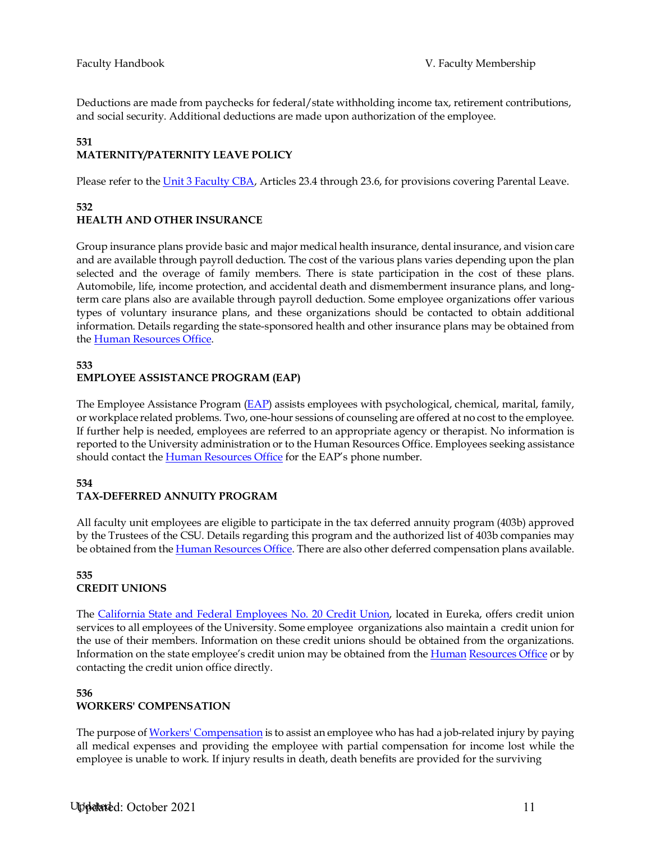Deductions are made from paychecks for federal/state withholding income tax, retirement contributions, and social security. Additional deductions are made upon authorization of the employee.

# **531**

## **MATERNITY/PATERNITY LEAVE POLICY**

Please refer to the [Unit 3 Faculty CBA, A](http://www.calstate.edu/laborrel/contracts_html/current_cba.shtml)rticles 23.4 through 23.6, for provisions covering Parental Leave.

#### **532 HEALTH AND OTHER INSURANCE**

Group insurance plans provide basic and major medical health insurance, dental insurance, and vision care and are available through payroll deduction. The cost of the various plans varies depending upon the plan selected and the overage of family members. There is state participation in the cost of these plans. Automobile, life, income protection, and accidental death and dismemberment insurance plans, and longterm care plans also are available through payroll deduction. Some employee organizations offer various types of voluntary insurance plans, and these organizations should be contacted to obtain additional information. Details regarding the state-sponsored health and other insurance plans may be obtained from the [Human Resources Office.](http://www2.humboldt.edu/hsuhr/)

## **533 EMPLOYEE ASSISTANCE PROGRAM (EAP)**

The Employee Assistance Program  $(EAP)$  assists employees with psychological, chemical, marital, family, or workplace related problems. Two, one-hour sessions of counseling are offered at no cost to the employee. If further help is needed, employees are referred to an appropriate agency or therapist. No information is reported to the University administration or to the Human Resources Office. Employees seeking assistance should contact the **Human Resources Office** for the EAP's phone number.

## **534**

## **TAX-DEFERRED ANNUITY PROGRAM**

All faculty unit employees are eligible to participate in the tax deferred annuity program (403b) approved by the Trustees of the CSU. Details regarding this program and the authorized list of 403b companies may be obtained from the *Human Resources Office*. There are also other deferred compensation plans available.

#### **535 CREDIT UNIONS**

The [California State and Federal Employees No. 20 Credit Union, l](http://csfecu20.com/site/)ocated in Eureka, offers credit union services to all employees of the University. Some employee organizations also maintain a credit union for the use of their members. Information on these credit unions should be obtained from the organizations. Information on the state employee's credit union may be obtained from the [Human](http://www2.humboldt.edu/hsuhr/) [Resources Office](http://www2.humboldt.edu/hsuhr/) or by contacting the credit union office directly.

## **536 WORKERS' COMPENSATION**

The purpose o[f Workers' Compensation](http://www2.humboldt.edu/hsuhr/employee/compensation/index.html) is to assist an employee who has had a job-related injury by paying all medical expenses and providing the employee with partial compensation for income lost while the employee is unable to work. If injury results in death, death benefits are provided for the surviving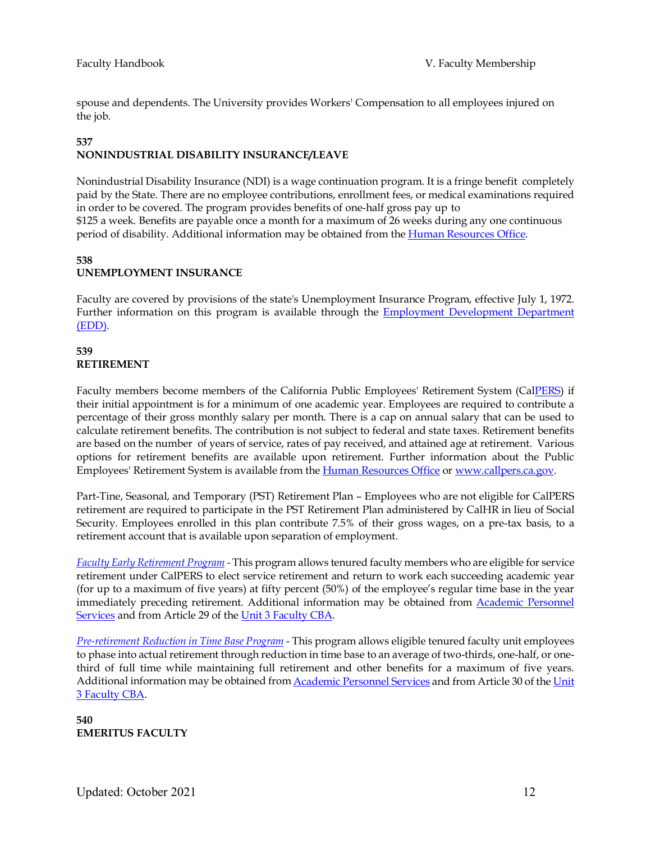spouse and dependents. The University provides Workers' Compensation to all employees injured on the job.

#### **537 NONINDUSTRIAL DISABILITY INSURANCE/LEAVE**

Nonindustrial Disability Insurance (NDI) is a wage continuation program. It is a fringe benefit completely paid by the State. There are no employee contributions, enrollment fees, or medical examinations required in order to be covered. The program provides benefits of one-half gross pay up to

\$125 a week. Benefits are payable once a month for a maximum of 26 weeks during any one continuous period of disability. Additional information may be obtained from the *Human Resources Office*.

## **538 UNEMPLOYMENT INSURANCE**

Faculty are covered by provisions of the state's Unemployment Insurance Program, effective July 1, 1972. Further information on this program is available through the **Employment Development Department** [\(EDD\).](http://www.edd.ca.gov/)

## **539 RETIREMENT**

Faculty members become members of the California Public Employees' Retirement System (Ca[lPERS\)](http://www.calpers.ca.gov/) if their initial appointment is for a minimum of one academic year. Employees are required to contribute a percentage of their gross monthly salary per month. There is a cap on annual salary that can be used to calculate retirement benefits. The contribution is not subject to federal and state taxes. Retirement benefits are based on the number of years of service, rates of pay received, and attained age at retirement. Various options for retirement benefits are available upon retirement. Further information about the Public Employees' Retirement System is available from th[e Human Resources Office](http://www2.humboldt.edu/hsuhr/index.html) or [www.callpers.ca.gov.](http://www.callpers.ca.gov/)

Part-Tine, Seasonal, and Temporary (PST) Retirement Plan – Employees who are not eligible for CalPERS retirement are required to participate in the PST Retirement Plan administered by CalHR in lieu of Social Security. Employees enrolled in this plan contribute 7.5% of their gross wages, on a pre-tax basis, to a retirement account that is available upon separation of employment.

*[Faculty Early Retirement Program](http://www.calstate.edu/LaborRel/Contracts_HTML/CFA_CONTRACT/article29.shtml) -* This program allows tenured faculty members who are eligible for service retirement under CalPERS to elect service retirement and return to work each succeeding academic year (for up to a maximum of five years) at fifty percent (50%) of the employee's regular time base in the year immediately preceding retirement. Additional information may be obtained from [Academic Personnel](http://www2.humboldt.edu/aps/)  [Services](http://www2.humboldt.edu/aps/) and from Article 29 of th[e Unit 3 Faculty CBA.](http://www.calstate.edu/laborrel/contracts_html/current_cba.shtml)

*[Pre-retirement Reduction in Time Base Program](http://www.calstate.edu/LaborRel/Contracts_HTML/CFA_CONTRACT/article30.shtml)* - This program allows eligible tenured faculty unit employees to phase into actual retirement through reduction in time base to an average of two-thirds, one-half, or onethird of full time while maintaining full retirement and other benefits for a maximum of five years. Additional information may be obtained fro[m Academic Personnel Services](http://www2.humboldt.edu/aps/) and from Article 30 of th[e Unit](http://www.calstate.edu/laborrel/contracts_html/current_cba.shtml)  [3 Faculty CBA.](http://www.calstate.edu/laborrel/contracts_html/current_cba.shtml)

**540 EMERITUS FACULTY**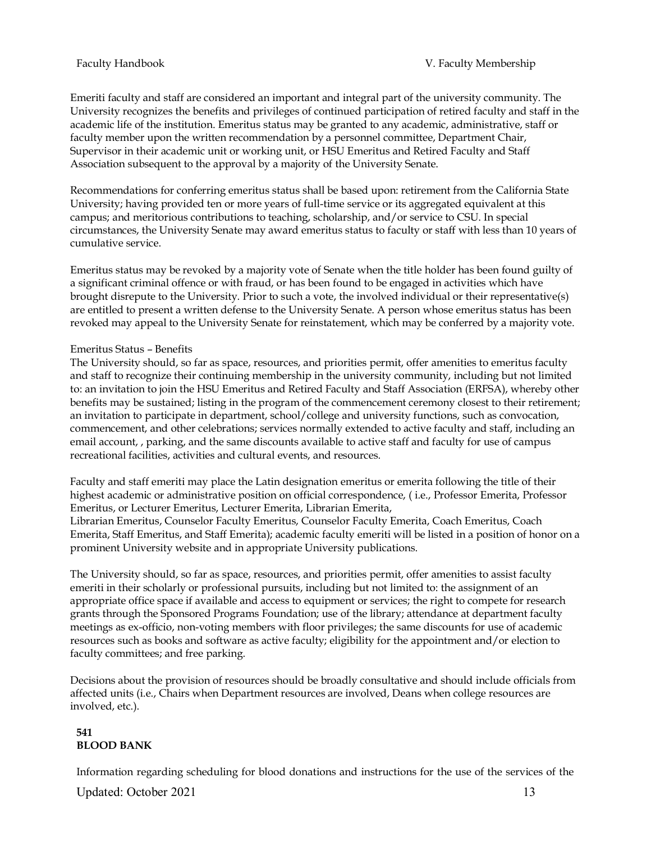Emeriti faculty and staff are considered an important and integral part of the university community. The University recognizes the benefits and privileges of continued participation of retired faculty and staff in the academic life of the institution. Emeritus status may be granted to any academic, administrative, staff or faculty member upon the written recommendation by a personnel committee, Department Chair, Supervisor in their academic unit or working unit, or HSU Emeritus and Retired Faculty and Staff Association subsequent to the approval by a majority of the University Senate.

Recommendations for conferring emeritus status shall be based upon: retirement from the California State University; having provided ten or more years of full-time service or its aggregated equivalent at this campus; and meritorious contributions to teaching, scholarship, and/or service to CSU. In special circumstances, the University Senate may award emeritus status to faculty or staff with less than 10 years of cumulative service.

Emeritus status may be revoked by a majority vote of Senate when the title holder has been found guilty of a significant criminal offence or with fraud, or has been found to be engaged in activities which have brought disrepute to the University. Prior to such a vote, the involved individual or their representative(s) are entitled to present a written defense to the University Senate. A person whose emeritus status has been revoked may appeal to the University Senate for reinstatement, which may be conferred by a majority vote.

#### Emeritus Status – Benefits

The University should, so far as space, resources, and priorities permit, offer amenities to emeritus faculty and staff to recognize their continuing membership in the university community, including but not limited to: an invitation to join the HSU Emeritus and Retired Faculty and Staff Association (ERFSA), whereby other benefits may be sustained; listing in the program of the commencement ceremony closest to their retirement; an invitation to participate in department, school/college and university functions, such as convocation, commencement, and other celebrations; services normally extended to active faculty and staff, including an email account, , parking, and the same discounts available to active staff and faculty for use of campus recreational facilities, activities and cultural events, and resources.

Faculty and staff emeriti may place the Latin designation emeritus or emerita following the title of their highest academic or administrative position on official correspondence, ( i.e., Professor Emerita, Professor Emeritus, or Lecturer Emeritus, Lecturer Emerita, Librarian Emerita,

Librarian Emeritus, Counselor Faculty Emeritus, Counselor Faculty Emerita, Coach Emeritus, Coach Emerita, Staff Emeritus, and Staff Emerita); academic faculty emeriti will be listed in a position of honor on a prominent University website and in appropriate University publications.

The University should, so far as space, resources, and priorities permit, offer amenities to assist faculty emeriti in their scholarly or professional pursuits, including but not limited to: the assignment of an appropriate office space if available and access to equipment or services; the right to compete for research grants through the Sponsored Programs Foundation; use of the library; attendance at department faculty meetings as ex-officio, non-voting members with floor privileges; the same discounts for use of academic resources such as books and software as active faculty; eligibility for the appointment and/or election to faculty committees; and free parking.

Decisions about the provision of resources should be broadly consultative and should include officials from affected units (i.e., Chairs when Department resources are involved, Deans when college resources are involved, etc.).

## **541 BLOOD BANK**

Information regarding scheduling for blood donations and instructions for the use of the services of the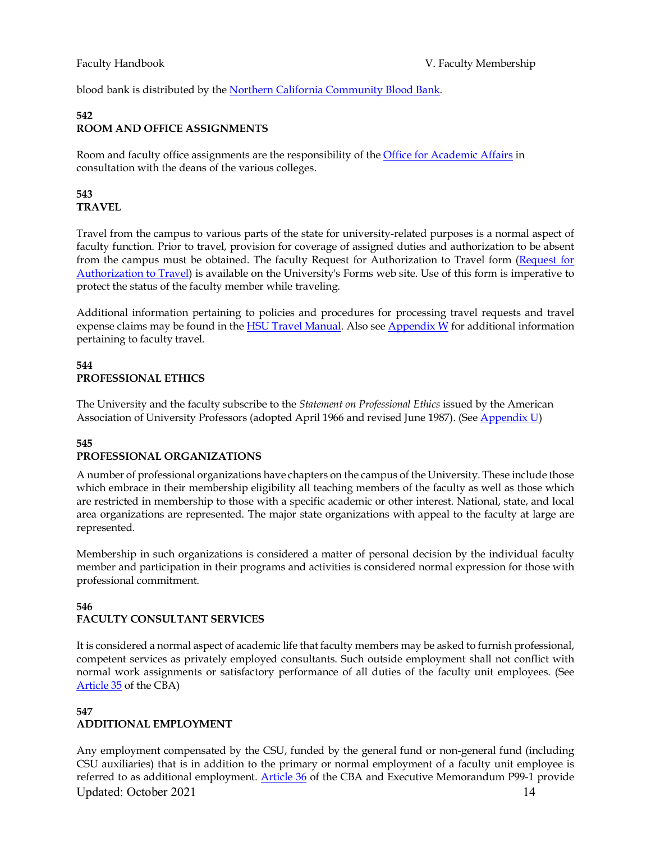blood bank is distributed by th[e Northern California Community Blood Bank.](http://www.nccbb.net/bloodmobile-schedule.html)

## **542 ROOM AND OFFICE ASSIGNMENTS**

Room and faculty office assignments are the responsibility of th[e Office for Academic Affairs](http://www2.humboldt.edu/aavp/) in consultation with the deans of the various colleges.

## **543 TRAVEL**

Travel from the campus to various parts of the state for university-related purposes is a normal aspect of faculty function. Prior to travel, provision for coverage of assigned duties and authorization to be absent from the campus must be obtained. The faculty Request for Authorization to Travel form [\(Request for](http://www2.humboldt.edu/forms/node/316) [Authorization to Travel\)](http://www2.humboldt.edu/forms/node/316) is available on the University's Forms web site. Use of this form is imperative to protect the status of the faculty member while traveling.

Additional information pertaining to policies and procedures for processing travel requests and travel expense claims may be found in the **HSU Travel Manual**. Also see [Appendix W](http://www2.humboldt.edu/aavp/faculty-handbook) for additional information pertaining to faculty travel.

## **544 PROFESSIONAL ETHICS**

The University and the faculty subscribe to the *Statement on Professional Ethics* issued by the American Association of University Professors (adopted April 1966 and revised June 1987). (See [Appendix U\)](http://www2.humboldt.edu/aavp/faculty-handbook)

#### **545 PROFESSIONAL ORGANIZATIONS**

A number of professional organizations have chapters on the campus of the University. These include those which embrace in their membership eligibility all teaching members of the faculty as well as those which are restricted in membership to those with a specific academic or other interest. National, state, and local area organizations are represented. The major state organizations with appeal to the faculty at large are represented.

Membership in such organizations is considered a matter of personal decision by the individual faculty member and participation in their programs and activities is considered normal expression for those with professional commitment.

## **546 FACULTY CONSULTANT SERVICES**

It is considered a normal aspect of academic life that faculty members may be asked to furnish professional, competent services as privately employed consultants. Such outside employment shall not conflict with normal work assignments or satisfactory performance of all duties of the faculty unit employees. (See [Article 35](http://www.calstate.edu/LaborRel/Contracts_HTML/CFA_CONTRACT/article35.shtml) of the CBA)

## **547 ADDITIONAL EMPLOYMENT**

Updated: October 2021 14 Any employment compensated by the CSU, funded by the general fund or non-general fund (including CSU auxiliaries) that is in addition to the primary or normal employment of a faculty unit employee is referred to as additional employment. [Article 36](http://www.calstate.edu/LaborRel/Contracts_HTML/CFA_CONTRACT/article36.shtml) of the CBA and Executive Memorandum P99-1 provide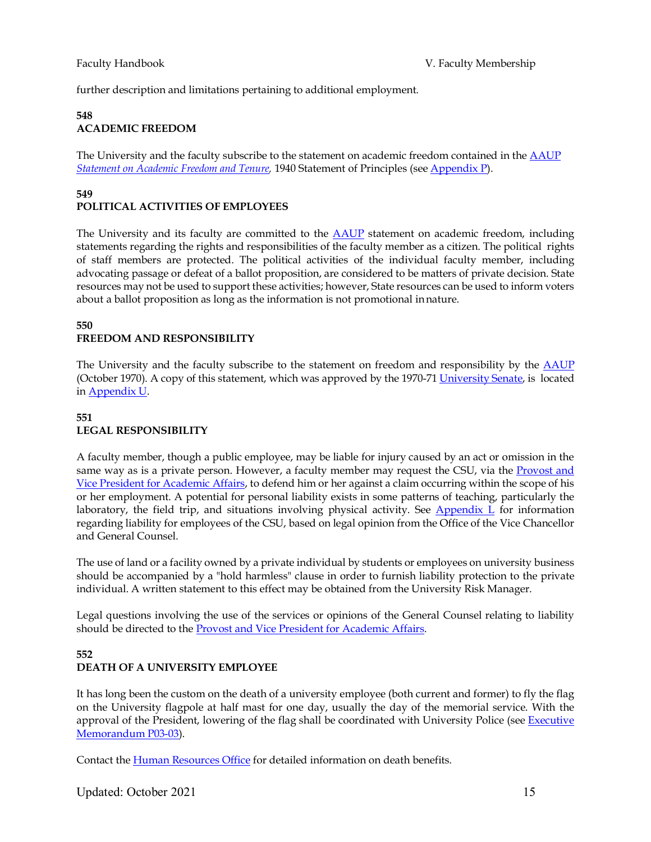further description and limitations pertaining to additional employment.

## **548 ACADEMIC FREEDOM**

The University and the faculty subscribe to the statement on academic freedom contained in the [AAUP](http://www.aaup.org/) *[Statement on Academic Freedom and Tenure,](http://www.aaup.org/statements/Redbook/1940stat.htm)* 1940 Statement of Principles (see [Appendix P\)](http://www2.humboldt.edu/aavp/faculty-handbook).

#### **549 POLITICAL ACTIVITIES OF EMPLOYEES**

The University and its faculty are committed to the **AAUP** statement on academic freedom, including statements regarding the rights and responsibilities of the faculty member as a citizen. The political rights of staff members are protected. The political activities of the individual faculty member, including advocating passage or defeat of a ballot proposition, are considered to be matters of private decision. State resources may not be used to support these activities; however, State resources can be used to inform voters about a ballot proposition as long as the information is not promotional innature.

## **550 FREEDOM AND RESPONSIBILITY**

The University and the faculty subscribe to the statement on freedom and responsibility by the [AAUP](http://www.aaup.org/) (October 1970). A copy of this statement, which was approved by the 1970-7[1 University Senate,](http://www2.humboldt.edu/senate/) is located in [Appendix](http://www2.humboldt.edu/aavp/faculty-handbook) U.

## **551 LEGAL RESPONSIBILITY**

A faculty member, though a public employee, may be liable for injury caused by an act or omission in the same way as is a private person. However, a faculty member may request the CSU, via the [Provost and](http://www2.humboldt.edu/aavp/) [Vice President for Academic Affairs, t](http://www2.humboldt.edu/aavp/)o defend him or her against a claim occurring within the scope of his or her employment. A potential for personal liability exists in some patterns of teaching, particularly the laboratory, the field trip, and situations involving physical activity. See Appendix  $L$  for information regarding liability for employees of the CSU, based on legal opinion from the Office of the Vice Chancellor and General Counsel.

The use of land or a facility owned by a private individual by students or employees on university business should be accompanied by a "hold harmless" clause in order to furnish liability protection to the private individual. A written statement to this effect may be obtained from the University Risk Manager.

Legal questions involving the use of the services or opinions of the General Counsel relating to liability should be directed to the [Provost and Vice President for Academic Affairs.](http://www2.humboldt.edu/aavp/)

## **552 DEATH OF A UNIVERSITY EMPLOYEE**

It has long been the custom on the death of a university employee (both current and former) to fly the flag on the University flagpole at half mast for one day, usually the day of the memorial service. With the approval of the President, lowering of the flag shall be coordinated with University Police (see [Executive](http://www2.humboldt.edu/policy/PEMP03-03Campus-Bereavement-Lowering-Flag) [Memorandum](http://www2.humboldt.edu/policy/PEMP03-03Campus-Bereavement-Lowering-Flag) P03-03).

Contact the [Human Resources Office](http://www2.humboldt.edu/hsuhr/) for detailed information on death benefits.